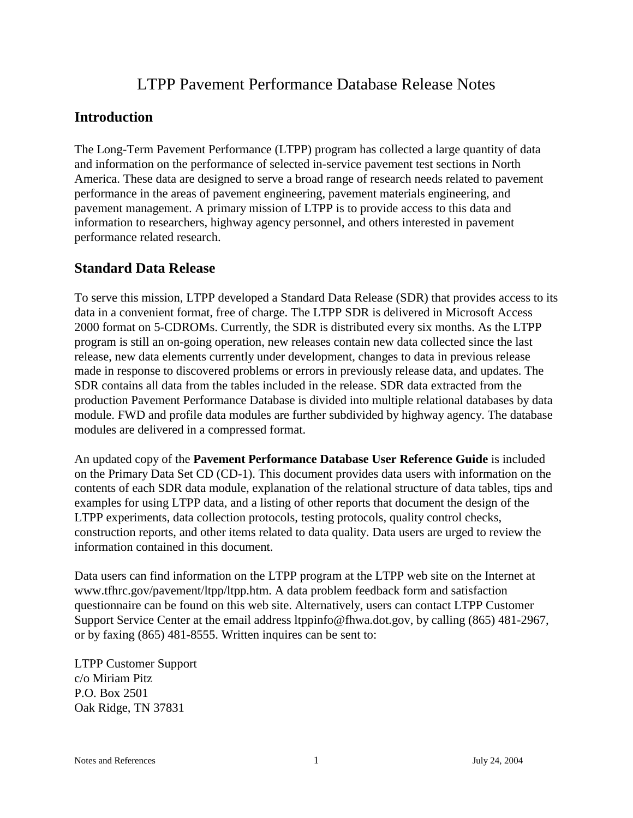# LTPP Pavement Performance Database Release Notes

# **Introduction**

The Long-Term Pavement Performance (LTPP) program has collected a large quantity of data and information on the performance of selected in-service pavement test sections in North America. These data are designed to serve a broad range of research needs related to pavement performance in the areas of pavement engineering, pavement materials engineering, and pavement management. A primary mission of LTPP is to provide access to this data and information to researchers, highway agency personnel, and others interested in pavement performance related research.

# **Standard Data Release**

To serve this mission, LTPP developed a Standard Data Release (SDR) that provides access to its data in a convenient format, free of charge. The LTPP SDR is delivered in Microsoft Access 2000 format on 5-CDROMs. Currently, the SDR is distributed every six months. As the LTPP program is still an on-going operation, new releases contain new data collected since the last release, new data elements currently under development, changes to data in previous release made in response to discovered problems or errors in previously release data, and updates. The SDR contains all data from the tables included in the release. SDR data extracted from the production Pavement Performance Database is divided into multiple relational databases by data module. FWD and profile data modules are further subdivided by highway agency. The database modules are delivered in a compressed format.

An updated copy of the **Pavement Performance Database User Reference Guide** is included on the Primary Data Set CD (CD-1). This document provides data users with information on the contents of each SDR data module, explanation of the relational structure of data tables, tips and examples for using LTPP data, and a listing of other reports that document the design of the LTPP experiments, data collection protocols, testing protocols, quality control checks, construction reports, and other items related to data quality. Data users are urged to review the information contained in this document.

Data users can find information on the LTPP program at the LTPP web site on the Internet at www.tfhrc.gov/pavement/ltpp/ltpp.htm. A data problem feedback form and satisfaction questionnaire can be found on this web site. Alternatively, users can contact LTPP Customer Support Service Center at the email address ltppinfo@fhwa.dot.gov, by calling (865) 481-2967, or by faxing (865) 481-8555. Written inquires can be sent to:

LTPP Customer Support c/o Miriam Pitz P.O. Box 2501 Oak Ridge, TN 37831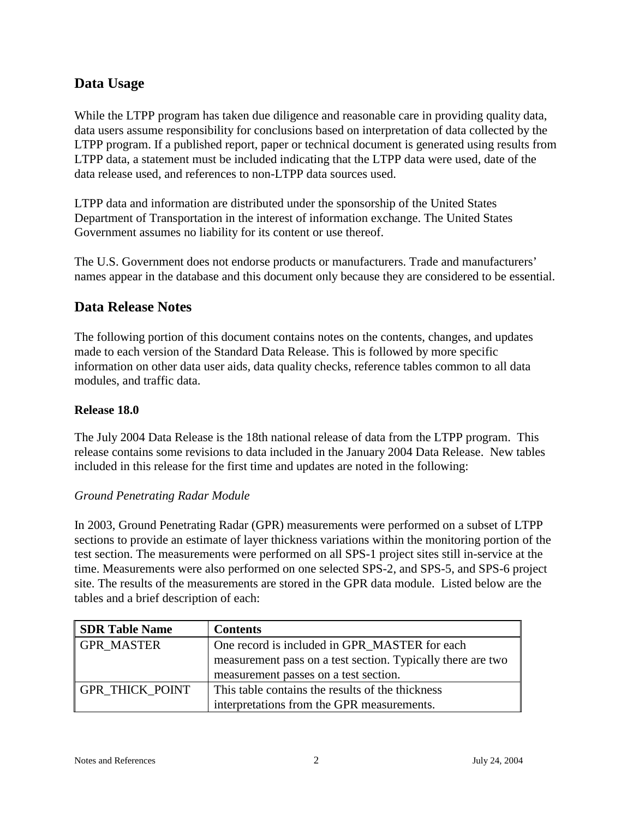# **Data Usage**

While the LTPP program has taken due diligence and reasonable care in providing quality data, data users assume responsibility for conclusions based on interpretation of data collected by the LTPP program. If a published report, paper or technical document is generated using results from LTPP data, a statement must be included indicating that the LTPP data were used, date of the data release used, and references to non-LTPP data sources used.

LTPP data and information are distributed under the sponsorship of the United States Department of Transportation in the interest of information exchange. The United States Government assumes no liability for its content or use thereof.

The U.S. Government does not endorse products or manufacturers. Trade and manufacturers' names appear in the database and this document only because they are considered to be essential.

# **Data Release Notes**

The following portion of this document contains notes on the contents, changes, and updates made to each version of the Standard Data Release. This is followed by more specific information on other data user aids, data quality checks, reference tables common to all data modules, and traffic data.

### **Release 18.0**

The July 2004 Data Release is the 18th national release of data from the LTPP program. This release contains some revisions to data included in the January 2004 Data Release. New tables included in this release for the first time and updates are noted in the following:

## *Ground Penetrating Radar Module*

In 2003, Ground Penetrating Radar (GPR) measurements were performed on a subset of LTPP sections to provide an estimate of layer thickness variations within the monitoring portion of the test section. The measurements were performed on all SPS-1 project sites still in-service at the time. Measurements were also performed on one selected SPS-2, and SPS-5, and SPS-6 project site. The results of the measurements are stored in the GPR data module. Listed below are the tables and a brief description of each:

| <b>SDR Table Name</b>  | <b>Contents</b>                                             |
|------------------------|-------------------------------------------------------------|
| <b>GPR MASTER</b>      | One record is included in GPR_MASTER for each               |
|                        | measurement pass on a test section. Typically there are two |
|                        | measurement passes on a test section.                       |
| <b>GPR THICK POINT</b> | This table contains the results of the thickness            |
|                        | interpretations from the GPR measurements.                  |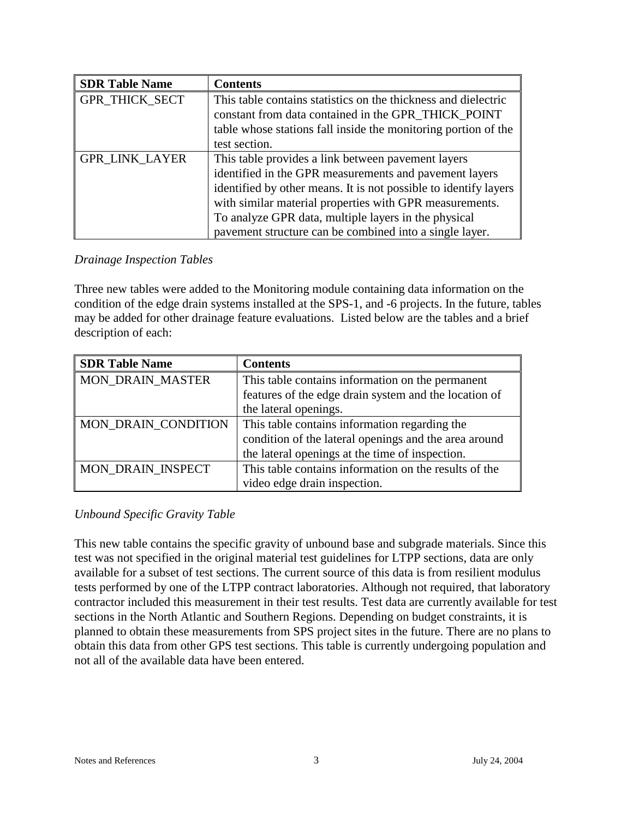| <b>SDR Table Name</b> | <b>Contents</b>                                                                                                                                                                                                                                                                                                                                                |
|-----------------------|----------------------------------------------------------------------------------------------------------------------------------------------------------------------------------------------------------------------------------------------------------------------------------------------------------------------------------------------------------------|
| GPR_THICK_SECT        | This table contains statistics on the thickness and dielectric<br>constant from data contained in the GPR_THICK_POINT<br>table whose stations fall inside the monitoring portion of the<br>test section.                                                                                                                                                       |
| <b>GPR_LINK_LAYER</b> | This table provides a link between pavement layers<br>identified in the GPR measurements and pavement layers<br>identified by other means. It is not possible to identify layers<br>with similar material properties with GPR measurements.<br>To analyze GPR data, multiple layers in the physical<br>pavement structure can be combined into a single layer. |

#### *Drainage Inspection Tables*

Three new tables were added to the Monitoring module containing data information on the condition of the edge drain systems installed at the SPS-1, and -6 projects. In the future, tables may be added for other drainage feature evaluations. Listed below are the tables and a brief description of each:

| <b>SDR Table Name</b>   | <b>Contents</b>                                       |
|-------------------------|-------------------------------------------------------|
| <b>MON_DRAIN_MASTER</b> | This table contains information on the permanent      |
|                         | features of the edge drain system and the location of |
|                         | the lateral openings.                                 |
| MON DRAIN CONDITION     | This table contains information regarding the         |
|                         | condition of the lateral openings and the area around |
|                         | the lateral openings at the time of inspection.       |
| MON DRAIN INSPECT       | This table contains information on the results of the |
|                         | video edge drain inspection.                          |

## *Unbound Specific Gravity Table*

This new table contains the specific gravity of unbound base and subgrade materials. Since this test was not specified in the original material test guidelines for LTPP sections, data are only available for a subset of test sections. The current source of this data is from resilient modulus tests performed by one of the LTPP contract laboratories. Although not required, that laboratory contractor included this measurement in their test results. Test data are currently available for test sections in the North Atlantic and Southern Regions. Depending on budget constraints, it is planned to obtain these measurements from SPS project sites in the future. There are no plans to obtain this data from other GPS test sections. This table is currently undergoing population and not all of the available data have been entered.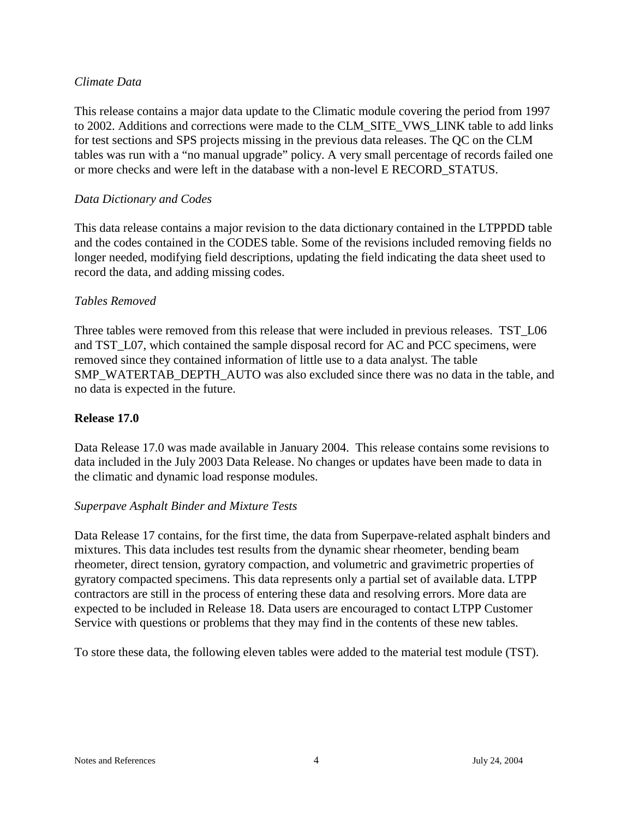#### *Climate Data*

This release contains a major data update to the Climatic module covering the period from 1997 to 2002. Additions and corrections were made to the CLM\_SITE\_VWS\_LINK table to add links for test sections and SPS projects missing in the previous data releases. The QC on the CLM tables was run with a "no manual upgrade" policy. A very small percentage of records failed one or more checks and were left in the database with a non-level E RECORD\_STATUS.

#### *Data Dictionary and Codes*

This data release contains a major revision to the data dictionary contained in the LTPPDD table and the codes contained in the CODES table. Some of the revisions included removing fields no longer needed, modifying field descriptions, updating the field indicating the data sheet used to record the data, and adding missing codes.

#### *Tables Removed*

Three tables were removed from this release that were included in previous releases. TST L06 and TST<sub>L07</sub>, which contained the sample disposal record for AC and PCC specimens, were removed since they contained information of little use to a data analyst. The table SMP\_WATERTAB\_DEPTH\_AUTO was also excluded since there was no data in the table, and no data is expected in the future.

#### **Release 17.0**

Data Release 17.0 was made available in January 2004. This release contains some revisions to data included in the July 2003 Data Release. No changes or updates have been made to data in the climatic and dynamic load response modules.

#### *Superpave Asphalt Binder and Mixture Tests*

Data Release 17 contains, for the first time, the data from Superpave-related asphalt binders and mixtures. This data includes test results from the dynamic shear rheometer, bending beam rheometer, direct tension, gyratory compaction, and volumetric and gravimetric properties of gyratory compacted specimens. This data represents only a partial set of available data. LTPP contractors are still in the process of entering these data and resolving errors. More data are expected to be included in Release 18. Data users are encouraged to contact LTPP Customer Service with questions or problems that they may find in the contents of these new tables.

To store these data, the following eleven tables were added to the material test module (TST).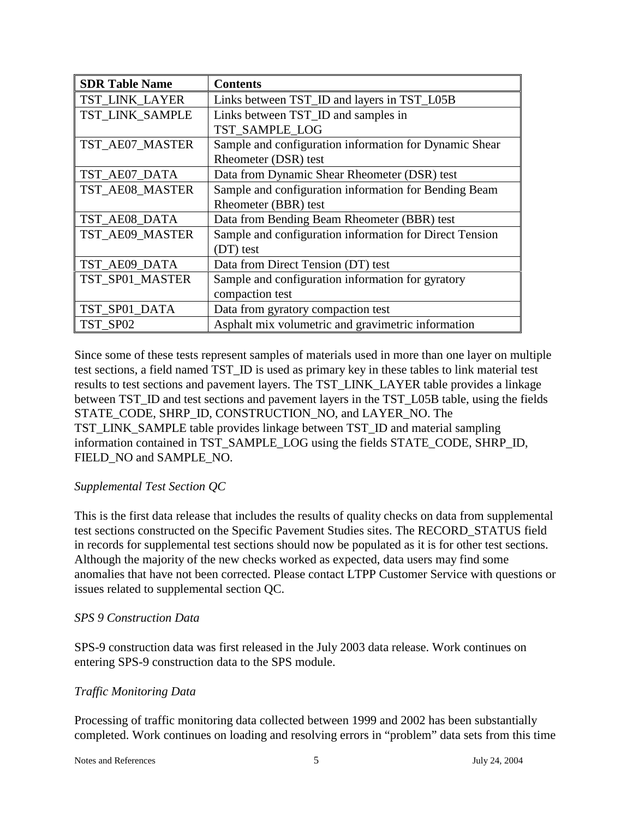| <b>SDR Table Name</b> | <b>Contents</b>                                         |
|-----------------------|---------------------------------------------------------|
| TST_LINK_LAYER        | Links between TST_ID and layers in TST_L05B             |
| TST_LINK_SAMPLE       | Links between TST_ID and samples in                     |
|                       | TST SAMPLE LOG                                          |
| TST_AE07_MASTER       | Sample and configuration information for Dynamic Shear  |
|                       | Rheometer (DSR) test                                    |
| TST_AE07_DATA         | Data from Dynamic Shear Rheometer (DSR) test            |
| TST_AE08_MASTER       | Sample and configuration information for Bending Beam   |
|                       | Rheometer (BBR) test                                    |
| TST_AE08_DATA         | Data from Bending Beam Rheometer (BBR) test             |
| TST AE09 MASTER       | Sample and configuration information for Direct Tension |
|                       | (DT) test                                               |
| TST_AE09_DATA         | Data from Direct Tension (DT) test                      |
| TST_SP01_MASTER       | Sample and configuration information for gyratory       |
|                       | compaction test                                         |
| TST_SP01_DATA         | Data from gyratory compaction test                      |
| TST SP02              | Asphalt mix volumetric and gravimetric information      |

Since some of these tests represent samples of materials used in more than one layer on multiple test sections, a field named TST\_ID is used as primary key in these tables to link material test results to test sections and pavement layers. The TST\_LINK\_LAYER table provides a linkage between TST\_ID and test sections and pavement layers in the TST\_L05B table, using the fields STATE\_CODE, SHRP\_ID, CONSTRUCTION\_NO, and LAYER\_NO. The TST\_LINK\_SAMPLE table provides linkage between TST\_ID and material sampling information contained in TST\_SAMPLE\_LOG using the fields STATE\_CODE, SHRP\_ID, FIELD\_NO and SAMPLE\_NO.

## *Supplemental Test Section QC*

This is the first data release that includes the results of quality checks on data from supplemental test sections constructed on the Specific Pavement Studies sites. The RECORD\_STATUS field in records for supplemental test sections should now be populated as it is for other test sections. Although the majority of the new checks worked as expected, data users may find some anomalies that have not been corrected. Please contact LTPP Customer Service with questions or issues related to supplemental section QC.

#### *SPS 9 Construction Data*

SPS-9 construction data was first released in the July 2003 data release. Work continues on entering SPS-9 construction data to the SPS module.

#### *Traffic Monitoring Data*

Processing of traffic monitoring data collected between 1999 and 2002 has been substantially completed. Work continues on loading and resolving errors in "problem" data sets from this time

Notes and References 5 5 July 24, 2004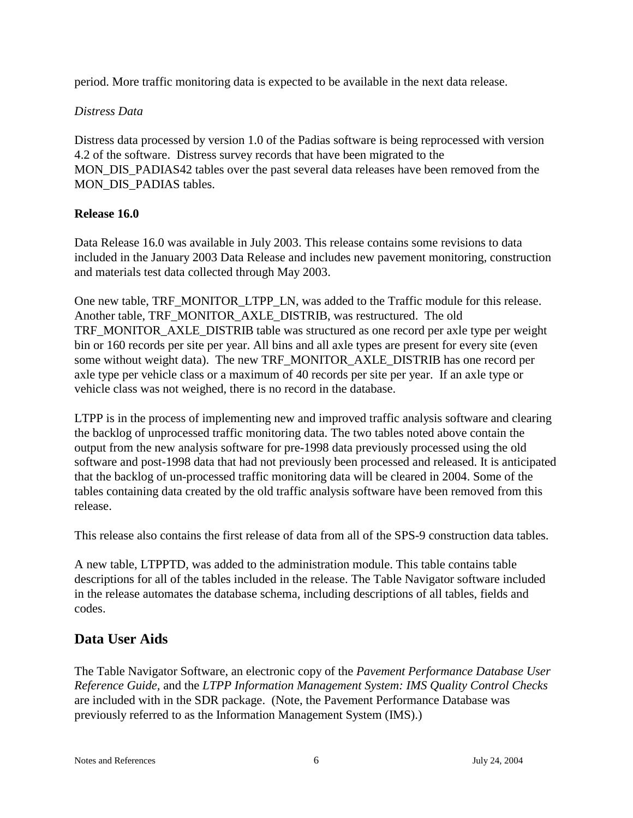period. More traffic monitoring data is expected to be available in the next data release.

#### *Distress Data*

Distress data processed by version 1.0 of the Padias software is being reprocessed with version 4.2 of the software. Distress survey records that have been migrated to the MON\_DIS\_PADIAS42 tables over the past several data releases have been removed from the MON DIS PADIAS tables.

#### **Release 16.0**

Data Release 16.0 was available in July 2003. This release contains some revisions to data included in the January 2003 Data Release and includes new pavement monitoring, construction and materials test data collected through May 2003.

One new table, TRF\_MONITOR\_LTPP\_LN, was added to the Traffic module for this release. Another table, TRF\_MONITOR\_AXLE\_DISTRIB, was restructured. The old TRF\_MONITOR\_AXLE\_DISTRIB table was structured as one record per axle type per weight bin or 160 records per site per year. All bins and all axle types are present for every site (even some without weight data). The new TRF\_MONITOR\_AXLE\_DISTRIB has one record per axle type per vehicle class or a maximum of 40 records per site per year. If an axle type or vehicle class was not weighed, there is no record in the database.

LTPP is in the process of implementing new and improved traffic analysis software and clearing the backlog of unprocessed traffic monitoring data. The two tables noted above contain the output from the new analysis software for pre-1998 data previously processed using the old software and post-1998 data that had not previously been processed and released. It is anticipated that the backlog of un-processed traffic monitoring data will be cleared in 2004. Some of the tables containing data created by the old traffic analysis software have been removed from this release.

This release also contains the first release of data from all of the SPS-9 construction data tables.

A new table, LTPPTD, was added to the administration module. This table contains table descriptions for all of the tables included in the release. The Table Navigator software included in the release automates the database schema, including descriptions of all tables, fields and codes.

# **Data User Aids**

The Table Navigator Software, an electronic copy of the *Pavement Performance Database User Reference Guide,* and the *LTPP Information Management System: IMS Quality Control Checks* are included with in the SDR package. (Note, the Pavement Performance Database was previously referred to as the Information Management System (IMS).)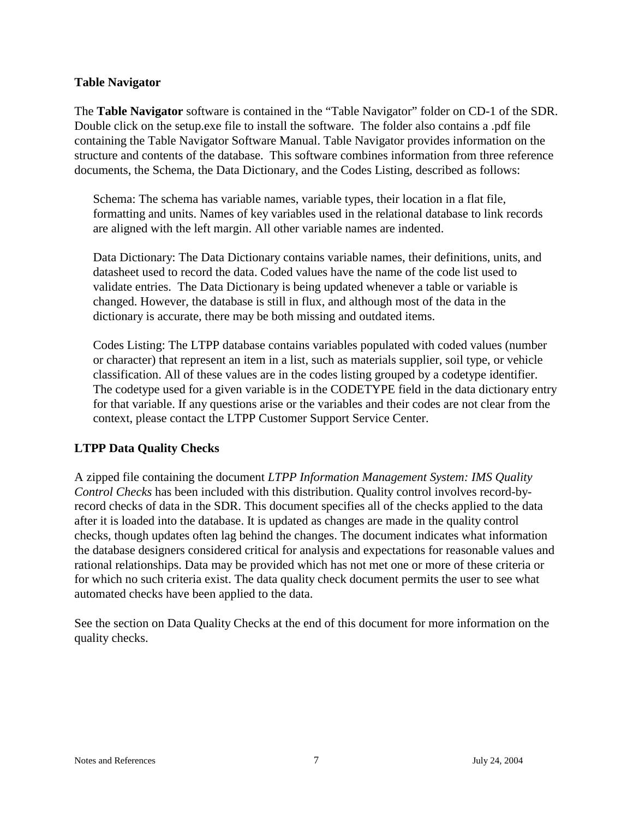#### **Table Navigator**

The **Table Navigator** software is contained in the "Table Navigator" folder on CD-1 of the SDR. Double click on the setup.exe file to install the software. The folder also contains a .pdf file containing the Table Navigator Software Manual. Table Navigator provides information on the structure and contents of the database. This software combines information from three reference documents, the Schema, the Data Dictionary, and the Codes Listing, described as follows:

Schema: The schema has variable names, variable types, their location in a flat file, formatting and units. Names of key variables used in the relational database to link records are aligned with the left margin. All other variable names are indented.

Data Dictionary: The Data Dictionary contains variable names, their definitions, units, and datasheet used to record the data. Coded values have the name of the code list used to validate entries. The Data Dictionary is being updated whenever a table or variable is changed. However, the database is still in flux, and although most of the data in the dictionary is accurate, there may be both missing and outdated items.

Codes Listing: The LTPP database contains variables populated with coded values (number or character) that represent an item in a list, such as materials supplier, soil type, or vehicle classification. All of these values are in the codes listing grouped by a codetype identifier. The codetype used for a given variable is in the CODETYPE field in the data dictionary entry for that variable. If any questions arise or the variables and their codes are not clear from the context, please contact the LTPP Customer Support Service Center.

## **LTPP Data Quality Checks**

A zipped file containing the document *LTPP Information Management System: IMS Quality Control Checks* has been included with this distribution. Quality control involves record-byrecord checks of data in the SDR. This document specifies all of the checks applied to the data after it is loaded into the database. It is updated as changes are made in the quality control checks, though updates often lag behind the changes. The document indicates what information the database designers considered critical for analysis and expectations for reasonable values and rational relationships. Data may be provided which has not met one or more of these criteria or for which no such criteria exist. The data quality check document permits the user to see what automated checks have been applied to the data.

See the section on Data Quality Checks at the end of this document for more information on the quality checks.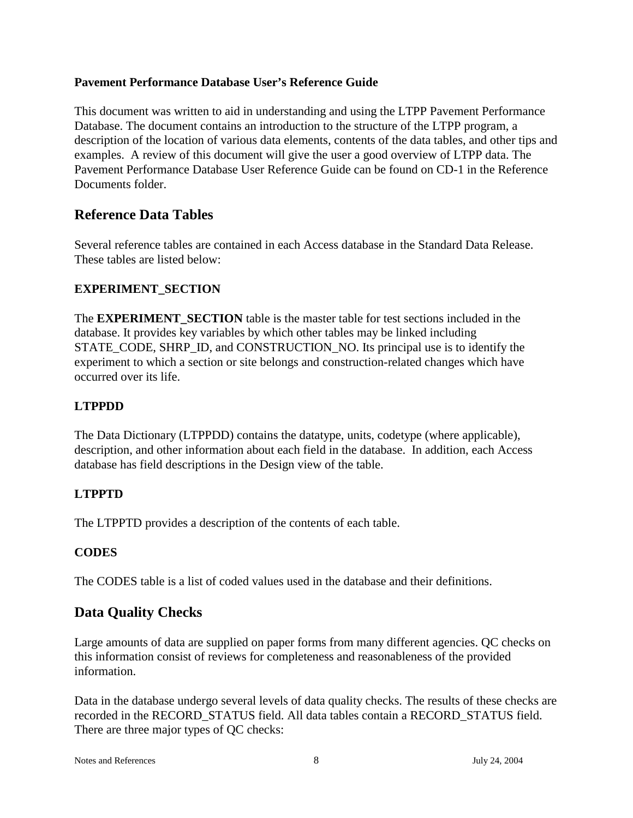## **Pavement Performance Database User's Reference Guide**

This document was written to aid in understanding and using the LTPP Pavement Performance Database. The document contains an introduction to the structure of the LTPP program, a description of the location of various data elements, contents of the data tables, and other tips and examples. A review of this document will give the user a good overview of LTPP data. The Pavement Performance Database User Reference Guide can be found on CD-1 in the Reference Documents folder.

# **Reference Data Tables**

Several reference tables are contained in each Access database in the Standard Data Release. These tables are listed below:

## **EXPERIMENT\_SECTION**

The **EXPERIMENT** SECTION table is the master table for test sections included in the database. It provides key variables by which other tables may be linked including STATE\_CODE, SHRP\_ID, and CONSTRUCTION\_NO. Its principal use is to identify the experiment to which a section or site belongs and construction-related changes which have occurred over its life.

# **LTPPDD**

The Data Dictionary (LTPPDD) contains the datatype, units, codetype (where applicable), description, and other information about each field in the database. In addition, each Access database has field descriptions in the Design view of the table.

## **LTPPTD**

The LTPPTD provides a description of the contents of each table.

## **CODES**

The CODES table is a list of coded values used in the database and their definitions.

# **Data Quality Checks**

Large amounts of data are supplied on paper forms from many different agencies. QC checks on this information consist of reviews for completeness and reasonableness of the provided information.

Data in the database undergo several levels of data quality checks. The results of these checks are recorded in the RECORD\_STATUS field. All data tables contain a RECORD\_STATUS field. There are three major types of QC checks:

Notes and References 8 3 3 July 24, 2004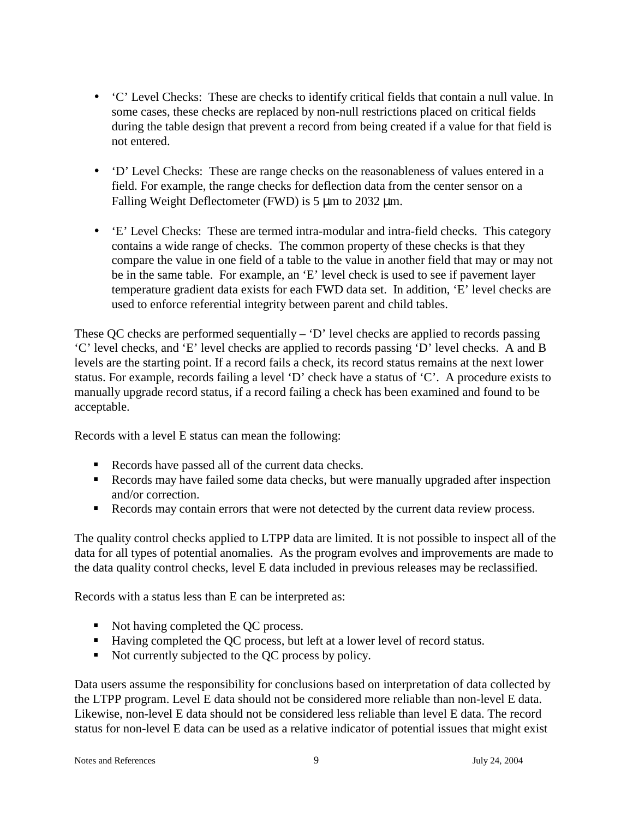- 'C' Level Checks: These are checks to identify critical fields that contain a null value. In some cases, these checks are replaced by non-null restrictions placed on critical fields during the table design that prevent a record from being created if a value for that field is not entered.
- 'D' Level Checks: These are range checks on the reasonableness of values entered in a field. For example, the range checks for deflection data from the center sensor on a Falling Weight Deflectometer (FWD) is 5 µm to 2032 µm.
- 'E' Level Checks: These are termed intra-modular and intra-field checks. This category contains a wide range of checks. The common property of these checks is that they compare the value in one field of a table to the value in another field that may or may not be in the same table. For example, an 'E' level check is used to see if pavement layer temperature gradient data exists for each FWD data set. In addition, 'E' level checks are used to enforce referential integrity between parent and child tables.

These QC checks are performed sequentially – 'D' level checks are applied to records passing 'C' level checks, and 'E' level checks are applied to records passing 'D' level checks. A and B levels are the starting point. If a record fails a check, its record status remains at the next lower status. For example, records failing a level 'D' check have a status of 'C'. A procedure exists to manually upgrade record status, if a record failing a check has been examined and found to be acceptable.

Records with a level E status can mean the following:

- Records have passed all of the current data checks.
- Records may have failed some data checks, but were manually upgraded after inspection and/or correction.
- Records may contain errors that were not detected by the current data review process.

The quality control checks applied to LTPP data are limited. It is not possible to inspect all of the data for all types of potential anomalies. As the program evolves and improvements are made to the data quality control checks, level E data included in previous releases may be reclassified.

Records with a status less than E can be interpreted as:

- Not having completed the OC process.
- Having completed the QC process, but left at a lower level of record status.
- Not currently subjected to the QC process by policy.

Data users assume the responsibility for conclusions based on interpretation of data collected by the LTPP program. Level E data should not be considered more reliable than non-level E data. Likewise, non-level E data should not be considered less reliable than level E data. The record status for non-level E data can be used as a relative indicator of potential issues that might exist